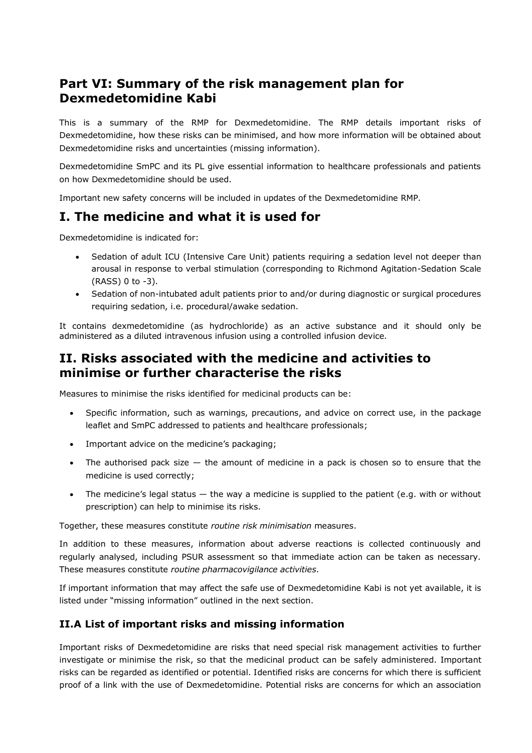# **Part VI: Summary of the risk management plan for Dexmedetomidine Kabi**

This is a summary of the RMP for Dexmedetomidine. The RMP details important risks of Dexmedetomidine, how these risks can be minimised, and how more information will be obtained about Dexmedetomidine risks and uncertainties (missing information).

Dexmedetomidine SmPC and its PL give essential information to healthcare professionals and patients on how Dexmedetomidine should be used.

Important new safety concerns will be included in updates of the Dexmedetomidine RMP.

## **I. The medicine and what it is used for**

Dexmedetomidine is indicated for:

- Sedation of adult ICU (Intensive Care Unit) patients requiring a sedation level not deeper than arousal in response to verbal stimulation (corresponding to Richmond Agitation-Sedation Scale (RASS) 0 to -3).
- Sedation of non-intubated adult patients prior to and/or during diagnostic or surgical procedures requiring sedation, i.e. procedural/awake sedation.

It contains dexmedetomidine (as hydrochloride) as an active substance and it should only be administered as a diluted intravenous infusion using a controlled infusion device.

### **II. Risks associated with the medicine and activities to minimise or further characterise the risks**

Measures to minimise the risks identified for medicinal products can be:

- Specific information, such as warnings, precautions, and advice on correct use, in the package leaflet and SmPC addressed to patients and healthcare professionals;
- Important advice on the medicine's packaging;
- The authorised pack size  $-$  the amount of medicine in a pack is chosen so to ensure that the medicine is used correctly;
- The medicine's legal status  $-$  the way a medicine is supplied to the patient (e.g. with or without prescription) can help to minimise its risks.

Together, these measures constitute *routine risk minimisation* measures.

In addition to these measures, information about adverse reactions is collected continuously and regularly analysed, including PSUR assessment so that immediate action can be taken as necessary. These measures constitute *routine pharmacovigilance activities*.

If important information that may affect the safe use of Dexmedetomidine Kabi is not yet available, it is listed under "missing information" outlined in the next section.

#### **II.A List of important risks and missing information**

Important risks of Dexmedetomidine are risks that need special risk management activities to further investigate or minimise the risk, so that the medicinal product can be safely administered. Important risks can be regarded as identified or potential. Identified risks are concerns for which there is sufficient proof of a link with the use of Dexmedetomidine. Potential risks are concerns for which an association